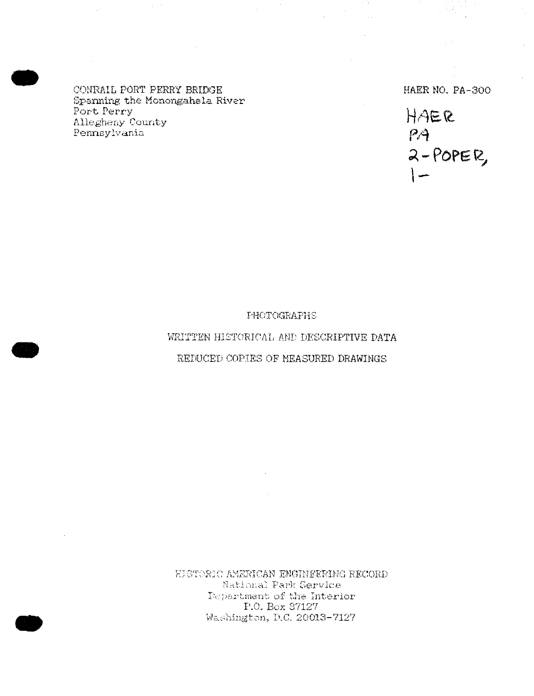CONRAIL PORT PERRY BRIDGE Spanning the Monongahela River Port Perry Allegheny County Pennsylvania

-

-

-

HAER NO. PA-300

 $HAER$ *Pl1*  <sup>~</sup>- **POPE** fl,,  $\overline{\phantom{0}}$ 

PHOTOGRAPHS

WRITTEN HISTORICAL AND DESCRIPTIVE DATA

REDUCED COPIES OF MEASURED DRAWINGS

EISTORIC AMERICAN ENGINEERING RECORD National Park Cervlce Department of the Interior P.O. Box 37127 Washington, D.C. 20013-7127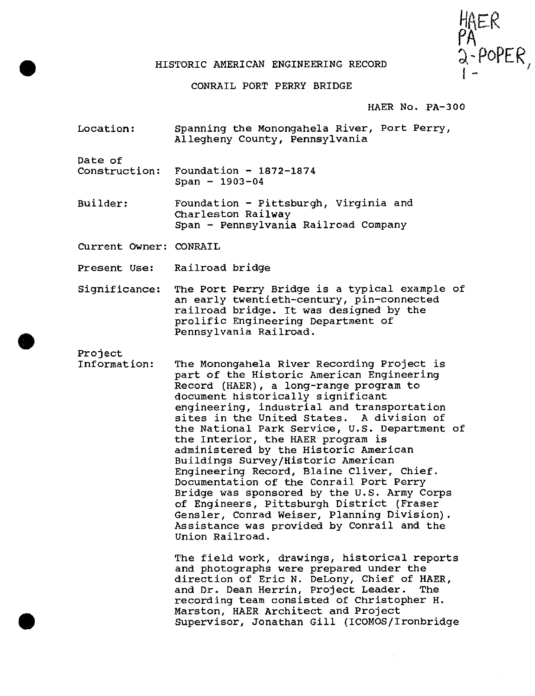

#### HISTORIC AMERICAN ENGINEERING RECORD

### CONRAIL PORT PERRY BRIDGE

#### HAER No. PA-300

Location: Spanning the Monongahela River, Port Perry, Allegheny County, Pennsylvania

•

•

•

Date of<br>Construction: Foundation  $- 1872 - 1874$  $Span - 1903 - 04$ 

Builder: Foundation - Pittsburgh, Virginia and Charleston Railway Span - Pennsylvania Railroad Company

current Owner: CONRAIL

Present Use: Railroad bridge

Significance: The Port Perry Bridge is a typical example of an early twentieth-century, pin-connected railroad bridge. It was designed by the prolific Engineering Department of Pennsylvania Railroad .

Project

Information: The Monongahela River Recording Project is part of the Historic American Engineering Record (HAER), a long-range program to document historically significant engineering, industrial and transportation sites in the United states. A division of the National Park Service, U.S. Department of the Interior, the HAER program is administered by the Historic American Buildings Survey/Historic American Engineering Record, Blaine Cliver, Chief. Documentation of the Conrail Port Perry Bridge was sponsored by the U.S. Army Corps of Engineers, Pittsburgh District (Fraser Gensler, Conrad Weiser, Planning Division). Assistance was provided by Conrail and the Union Railroad.

> The field work, drawings, historical reports and photographs were prepared under the direction of Eric N. DeLony, Chief of HAER,<br>and Dr. Dean Herrin, Project Leader. The and Dr. Dean Herrin, Project Leader. recording team consisted of Christopher H. Marston, HAER Architect and Project Supervisor, Jonathan Gill (ICOMOS/Ironbridge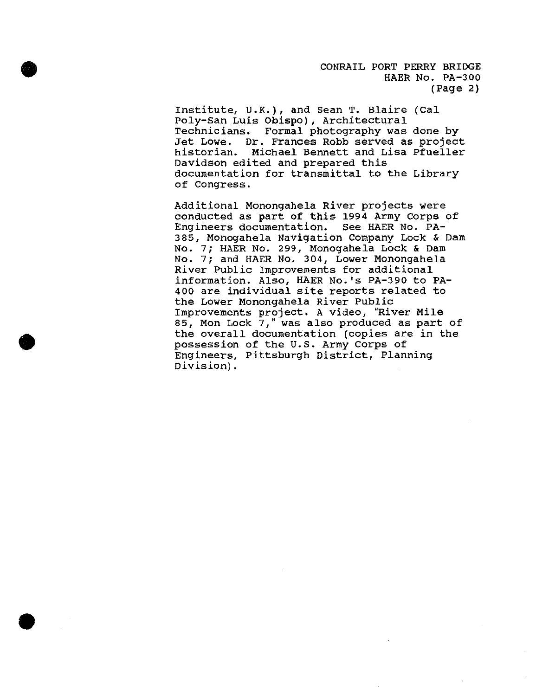CONRAIL PORT PERRY BRIDGE HAER No. PA-300 (Page 2)

Institute, U.K.), and Sean T. Blaire (Cal Poly-San Luis Obispo), Architectural Formal photography was done by Jet Lowe. Dr. Frances Robb served as project historian. Michael Bennett and Lisa Pfueller Davidson edited and prepared this documentation for transmittal to the Library of Congress.

•

•

•

Additional Monongahela River projects were conducted as part of this 1994 Army Corps of Engineers documentation. see HAER No. PA-385, Monogahela Navigation Company Lock & Dam No. 7; HAER No. 299, Monogahela Lock & Dam No. 7; and HAER No. 304, Lower Monongahela River Public Improvements for additional information. Also, HAER No.'s PA-390 to PA-400 are individual site reports related to the Lower Monongahela River Public Improvements project. A video, "River Mile 85, Mon Lock 7," was also produced as part of the overall documentation (copies are in the possession of the U.S. Army Corps of Engineers, Pittsburgh District, Planning Division) .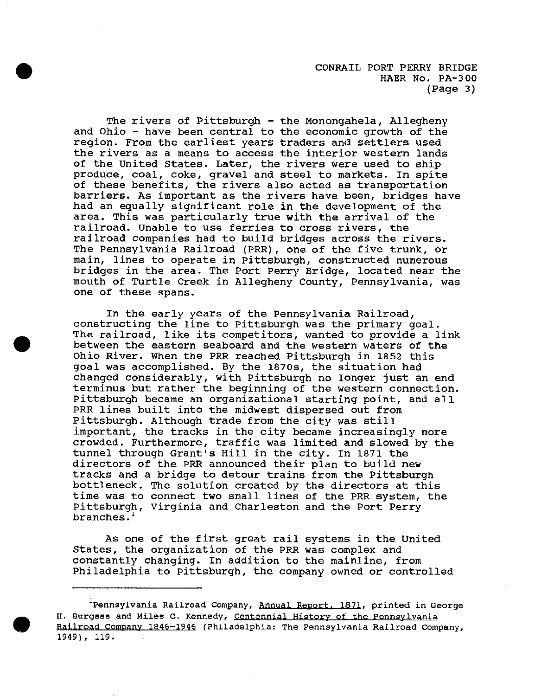The rivers of Pittsburgh - the Monongahela, Allegheny and Ohio - have been central to the economic growth of the region. From the earliest years traders and settlers used the rivers as a means to access the interior western lands of the United States. Later, the rivers were used to ship produce, coal, coke, gravel and steel to markets. In spite of these benefits, the rivers also acted as transportation barriers. As important as the rivers have been, bridges have had an equally significant role in the development of the area. This was particularly true with the arrival of the railroad. Unable to use ferries to cross rivers, the railroad companies had to build bridges across the rivers. The Pennsylvania Railroad (PRR), one of the five trunk, or main, lines to operate in Pittsburgh, constructed numerous bridges in the area. The Port Perry Bridge, located near the mouth of Turtle Creek in Allegheny County, Pennsylvania, was one of these spans.

•

•

•

In the early years of the Pennsylvania Railroad, constructing the line to Pittsburgh was the primary goal. The railroad, like its competitors, wanted to provide a link between the eastern seaboard and the western waters of the Ohio River. When the PRR reached Pittsburgh in 1852 this goal was accomplished. By the 1870s, the situation had changed considerably, with Pittsburgh no longer just an end terminus but rather the beginning of the western connection. Pittsburgh became an organizational starting point, and all PRR lines built into the midwest dispersed out from Pittsburgh. Although trade from the city was still important, the tracks in the city became increasingly more crowded. Furthermore, traffic was limited and slowed by the tunnel through Grant's Hill in the city. In 1871 the directors of the PRR announced their plan to build new tracks and a bridge to detour trains from the Pittsburgh bottleneck. The solution created by the directors at this time was to connect two small lines of the PRR system, the Pittsburgh, Virginia and Charleston and the Port Perry branches.'

As one of the first great rail systems in the United states, the organization of the PRR was complex and constantly changing. In addition to the mainline, from Philadelphia to Pittsburgh, the company owned or controlled

**<sup>1</sup> Pennsylvania Railroad Company, Annual Report, 1871, printed in George H. Burgess and Miles c. Kennedy, centennial History of the Pennsylvania**  Railroad Company 1846-1946 (Philadelphia: The Pennsylvania Railroad Company, 1949), 119.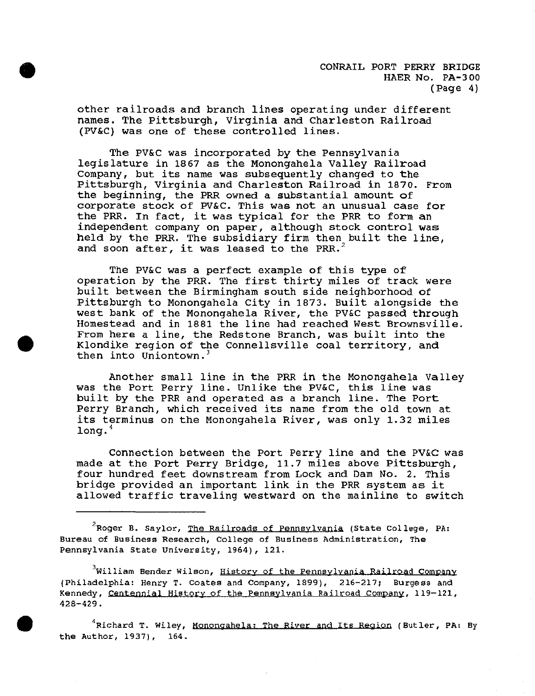CONRAIL PORT PERRY BRIDGE HAER No. PA-300 (Page 4)

other railroads and branch lines operating under different names. The Pittsburgh, Virginia and Charleston Railroad (PV&C) was one of these controlled lines.

•

•

The PV&C was incorporated by the Pennsylvania legislature in 1867 as the Monongahela Valley Railroad Company, but its name was subsequently changed to the Pittsburgh, Virginia and Charleston Railroad in 1870. From the beginning, the PRR owned a substantial amount of corporate stock of PV&C. This was not an unusual case for the PRR. In fact, it was typical for the PRR to form an independent company on paper, although stock control was held by the PRR. The subsidiary firm then built the line, and soon after, it was leased to the PRR.<sup>2</sup>

The PV&C was a perfect example of this type of operation by the PRR. The first thirty miles of track were built between the Birmingham south side neighborhood of Pittsburgh to Monongahela City in 1873. Built alongside the west bank of the Monongahela River, the PV&C passed through Homestead and in 1881 the line had reached West Brownsville. From here a line, the Redstone Branch, was built into the Klondike region of the Connellsville coal territory, and then into Uniontown.'

Another small line in the PRR in the Monongahela Valley was the Port Perry line. Unlike the PV&C, this line was built by the PRR and operated as a branch line. The Port Perry Branch, which received its name from the old town at its terminus on the Monongahela River, was only 1.32 miles long.<sup>4</sup>

Connection between the Port Perry line and the PV&C was made at the Port Perry Bridge, 11.7 miles above Pittsburgh, four hundred feet downstream from Lock and Dam No. 2. This bridge provided an important link in the PRR system as it allowed traffic traveling westward on the mainline to switch

**2 Roger B. Saylor, The Railroads of Pennsylvania {State college, PA: Bureau of Business Research, College of Business Administration, The**  Pennsylvania State University, 1964), 121.

**3 William Bender Wilson, History of the Pennsylvania Railroad Company**  (Philadelphia: Henry T. Coates and Company, 1899), 216-217; Burgess and **Kennedy, Centennial History of the Pennsylvania Railroad company, 119-121,**  428-429.

• **<sup>4</sup> Richard T. Wiley, Monongahela: The River and Its Region (Butler, PA: By**  the Author, 1937), 164.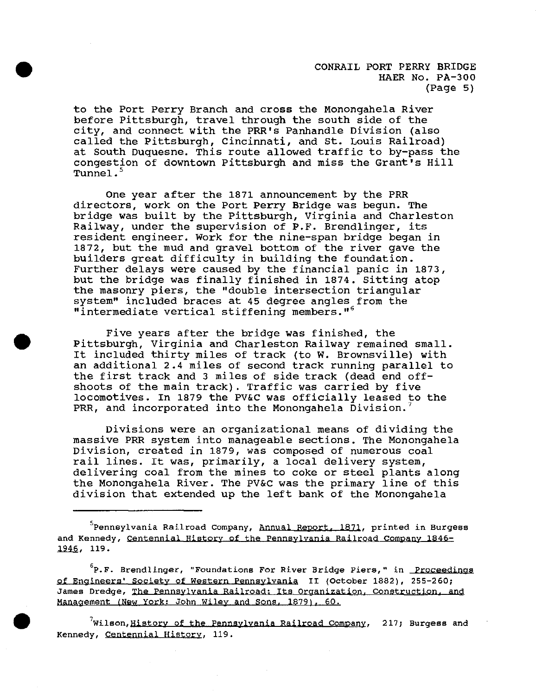CONRAIL PORT PERRY BRIDGE HAER No. PA-300 (Page 5)

to the Port Perry Branch and cross the Monongahela River before Pittsburgh, travel through the south side of the city, and connect with the PRR's Panhandle Division (also called the Pittsburgh, Cincinnati, and st. Louis Railroad) at South Duquesne. This route allowed traffic to by-pass the congestion of downtown Pittsburgh and miss the Grant's Hill Tunnel.<sup>5</sup>

•

•

•

One year after the 1871 announcement by the PRR directors, work on the Port Perry Bridge was begun. The bridge was built by the Pittsburgh, Virginia and Charleston Railway, under the supervision of P.F. Brendlinger, its resident engineer. Work for the nine-span bridge began in 1872, but the mud and gravel bottom of the river gave the builders great difficulty in building the foundation. Further delays were caused by the financial panic in 1873, but the bridge was finally finished in 1874. Sitting atop the masonry piers, the "double intersection triangular system" included braces at 45 degree angles from the "intermediate vertical stiffening members."<sup>6</sup>

Five years after the bridge **was** finished, the Pittsburgh, Virginia and Charleston Railway remained small. It included thirty miles of track (to W. Brownsville) with an additional 2.4 miles of second track running parallel to the first track and 3 miles of side track {dead end offshoots of the main track). Traffic was carried by five locomotives. In 1879 the PV&C was officially leased to the PRR, and incorporated into the Monongahela Division.<sup>7</sup>

Divisions were an organizational means of dividing the massive PRR system into manageable sections. The Monongahela Division, created in 1879, was composed of numerous coal rail lines. It was, primarily, a local delivery system, delivering coal from the mines to coke or steel plants along the Monongahela River. The PV&C was the primary line of this division that extended up the left bank of the Monongahela

**5 Pennsylvania Railroad company, Annual Report, 1871, printed in Burgess and Kennedy, Centennial History of the Pennsylvania Railroad Company 1846-** 1946, 119.

**<sup>6</sup>P.F. Brendlinger, "Foundations For River Bridge Piers," in <u>Proceedings</u> of Engineers' society of western Pennsylvania II (October 1882), 255-260; James Dredge, The Pennsylvania Railroad: Its Organization, construction, and Management (New York: John Wiley and sons, 1879), 60,** 

<sup>7</sup>Wilson,<u>History of the Pennsylvania Railroad Company</u>, 217; Burgess and **Kennedy, Centennial History, 119.**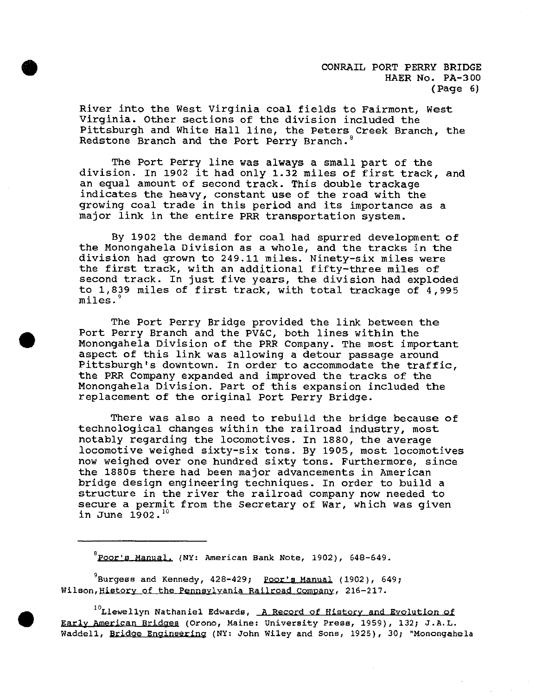CONRAIL PORT PERRY BRIDGE HAER No. PA-300 (Page 6)

River into the West Virginia coal fields to Fairmont, West Virginia. Other sections of the division included the Pittsburgh and White Hall line, the Peters Creek Branch, the Redstone Branch and the Port Perry Branch.<sup>8</sup>

The Port Perry line was always a small part of the division. In 1902 it had only 1.32 miles of first track, and an equal amount of second track. This double trackage indicates the heavy, constant use of the road with the growing coal trade in this period and its importance as a major link in the entire PRR transportation system.

By 1902 the demand for coal had spurred development of the Monongahela Division as a whole, and the tracks in the division had grown to 249.11 miles. Ninety-six miles were the first track, with an additional fifty-three miles of second track. In just five years, the division had exploded to 1,839 miles of first track, with total trackage of 4,995 miles. $^{\circ}$ 

The Port Perry Bridge provided the link between the Port Perry Branch and the PV&C, both lines within the Monongahela Division of the PRR Company. The most important aspect of this link was allowing a detour passage around Pittsburgh's downtown. In order to accommodate the traffic, the PRR Company expanded and improved the tracks of the Monongahela Division. Part of this expansion included the replacement of the original Port Perry Bridge.

There was also a need to rebuild the bridge because of technological changes within the railroad industry, most notably regarding the locomotives. In 1880, the average locomotive weighed sixty-six tons. By 1905, most locomotives now weighed over one hundred sixty tons. Furthermore, since the 1880s there had been major advancements in American bridge design engineering techniques. In order to build a structure in the river the railroad company now needed to secure a permit from the Secretary of War, which was given in June  $1902.$   $^{10}$ 

**8 Poor's Manual, (NY: American Bank Note, 1902), 648-649.** 

9 Burgess and Kennedy, 428-429; **Poor's** Manual (1902), 649; **Wilson,Historv of the Pennsylvania Railroad company, 216-217.** 

**<sup>10</sup>Llewellyn Nathaniel Edwards, A Record of History and Evolution of Early American Bridges (Orono, Maine: University Press, 1959), 132; J.A.L. Waddell, Bridge Engineering (NY: John Wiley and sons, 1925), 30; "Monongahela** 

•

**•**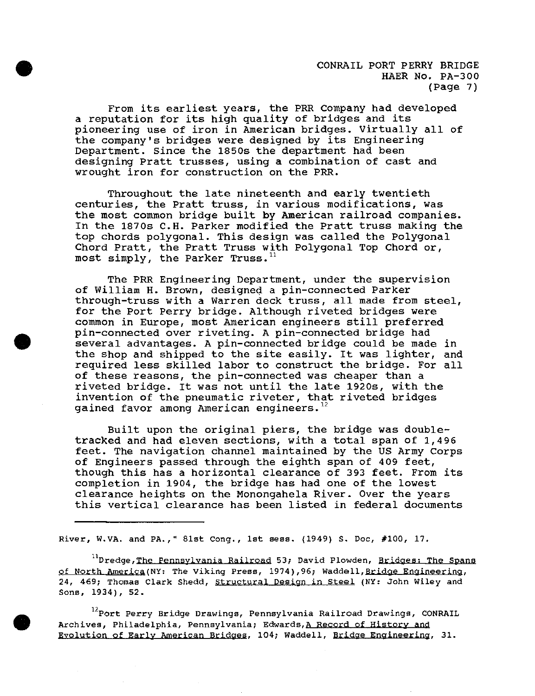CONRAIL PORT PERRY BRIDGE HAER No, PA-300 (Page 7)

From its earliest years, the PRR company had developed a reputation for its high quality of bridges and its pioneering use of iron in American bridges. Virtually all of the company's bridges were designed by its Engineering Department. Since the 1850s the department had been designing Pratt trusses, using a combination of cast and wrought iron for construction on the PRR.

•

•

•

Throughout the late nineteenth and early twentieth centuries, the Pratt truss, in various modifications, was the most common bridge built by American railroad companies. In the 1870s C.H. Parker modified the Pratt truss making the top chords polygonal. This design was called the Polygonal Chord Pratt, the Pratt Truss with Polygonal Top Chord or, most simply, the Parker Truss. $^{11}$ 

The PRR Engineering Department, under the supervision of William H. Brown, designed a pin-connected Parker through-truss with a Warren deck truss, all made from steel, for the Port Perry bridge. Although riveted bridges were common in Europe, most American engineers still preferred pin-connected over riveting. A pin-connected bridge had several advantages. A pin-connected bridge could be made in the shop and shipped to the site easily. It was lighter, and required less skilled labor to construct the bridge. For all of these reasons, the pin-connected was cheaper than a riveted bridge. It was not until the late 1920s, with the invention of the pneumatic riveter, that riveted bridges gained favor among American engineers. $12$ 

Built upon the original piers, the bridge was doubletracked and had eleven sections, with a total span of 1,496 feet. The navigation channel maintained by the US Army Corps of Engineers passed through the eighth span of 409 feet, though this has a horizontal clearance of 393 feet. From its completion in 1904, the bridge has had one of the lowest clearance heights on the Monongahela River. Over the years this vertical clearance has been listed in federal documents

River, W.VA. and PA.," 81st Cong., 1st sess.  $(1949)$  S. Doc,  $#100$ , 17.

**11Dredge,Tbe Pennsylvania Railroad 53; David Plowden, Bridges; The Spans of North America(NY: The Viking Press, 1974),96; Waddell,Bridge Eoaineerina, 24, 469; Thomas Clark Shedd, Structural Design in Steel (NY: John Wiley and**  Sons, 1934), 52.

**12Port Perry Bridge Drawings, Pennsylvania Railroad Drawings, CONRAIL Archives, Philadelphia, Pennsylvania; Edwards,A Record of History and Evolution of Early American Bridges, 104; Waddell, Bridge Engineering, 31.**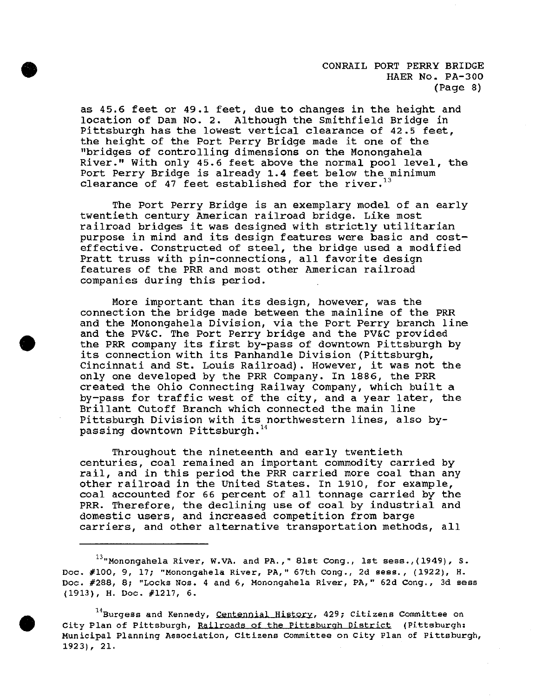CONRAIL PORT PERRY BRIDGE HAER No. PA-300 (Page 8)

as 45.6 feet or 49.1 feet, due to changes in the height and location of Dam No. 2. Although the Smithfield Bridge in Pittsburgh has the lowest vertical clearance of 42.5 feet, the height of the Port Perry Bridge made it one of the "bridges of controlling dimensions on the Monongahela River." With only 45.6 feet above the normal pool level, the Port Perry Bridge is already **1.4** feet below the minimum clearance of 47 feet established for the river.<sup>13</sup>

•

•

•

The Port Perry Bridge is an exemplary model of an early twentieth century American railroad bridge. Like most railroad bridges it was designed with strictly utilitarian purpose in mind and its design features were basic and costeffective. Constructed of steel, the bridge used a modified Pratt truss with pin-connections, all favorite design features of the PRR and most other American railroad companies during this period.

More important than its design, however, was the connection the bridge made between the mainline of the PRR and the Monongahela Division, via the Port Perry branch line and the PV&C. The Port Perry bridge and the PV&C provided the PRR company its first by-pass of downtown Pittsburgh by its connection with its Panhandle Division (Pittsburgh, Cincinnati and St. Louis Railroad). However, it was not the only one developed by the PRR Company. In 1886, the PRR created the Ohio Connecting Railway company, which built a by-pass for traffic west of the city, and a year later, the Brillant Cutoff Branch which connected the main line Pittsburgh Division with its northwestern lines, also bypassing downtown Pittsburgh.<sup>14</sup>

Throughout the nineteenth and early twentieth centuries, coal remained an important commodity carried by rail, and in this period the PRR carried more coal than any other railroad in the united States. In 1910, for example, coal accounted for 66 percent of all tonnage carried by the PRR. Therefore, the declining use of coal by industrial and domestic users, and increased competition from barge carriers, and other alternative transportation methods, all

 $^{13}$ "Monongahela River, W.VA. and PA.," 81st Cong., 1st sess., (1949), S. Doc. #100, 9, 17; "Monongahela River, PA," 67th Cong., 2d sess., (1922), H. **Doc. #288, 8; "Locks Nos. 4 and 6, Monongahela River, PA," 62d Cong., 3d sees**  (1913), H. Doc. #1217, 6.

**<sup>14</sup>Burgess and Kennedy, Centennial History, 429; Citizens Committee on**  City Plan of Pittsburgh, Railroads of the Pittsburgh District (Pittsburgh: **Municipal Planning Association, Citizens Committee on City Plan of Pittsburgh,**  1923), 21.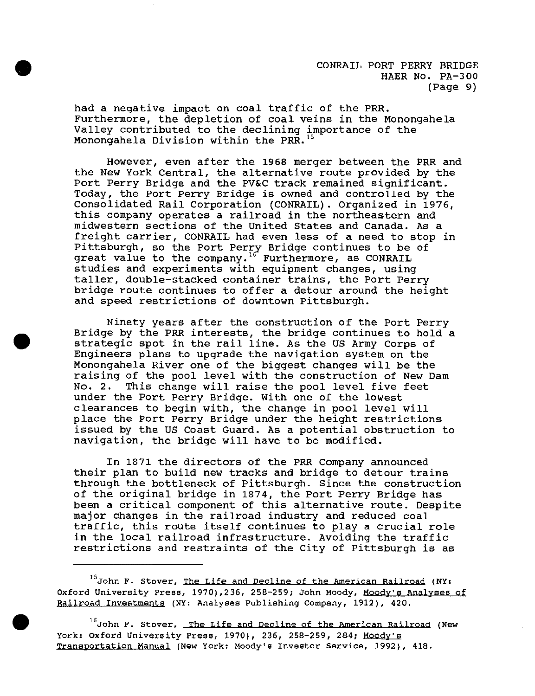CONRAIL PORT PERRY BRIDGE HAER No. PA-300 (Page 9)

had a negative impact on coal traffic of the PRR. Furthermore, the depletion of coal veins in the Monongahela Valley contributed to the declining importance of the Monongahela Division within the PRR. 15

•

•

•

However, even after the 1968 merger between the PRR and the New York Central, the alternative route provided by the Port Perry Bridge and the PV&C track remained significant. Today, the Port Perry Bridge is owned and controlled by the Consolidated Rail Corporation (CONRAIL). Organized in 1976, this company operates a railroad in the northeastern and midwestern sections of the United States and Canada. As a freight carrier, CONRAIL had even less of a need to stop in Pittsburgh, so the Port Perry Bridge continues to be of great value to the company. <sup>16</sup> Furthermore, as CONRAIL studies and experiments with equipment changes, using taller, double-stacked container trains, the Port Perry bridge route continues to offer a detour around the height and speed restrictions of downtown Pittsburgh.

Ninety years after the construction of the Port Perry Bridge by the PRR interests, the bridge continues to hold a strategic spot in the rail line. As the us Army Corps of Engineers plans to upgrade the navigation system on the Monongahela River one of the biggest changes will be the raising of the pool level with the construction of New Dam<br>No. 2. This change will raise the pool level five feet This change will raise the pool level five feet under the Port Perry Bridge. With one of the lowest clearances to begin with, the change in pool level will place the Port Perry Bridge under the height restrictions issued by the us Coast Guard. As a potential obstruction to navigation, the bridge will have to be modified.

In 1871 the directors of the PRR Company announced their plan to build new tracks and bridge to detour trains through the bottleneck of Pittsburgh. Since the construction of the original bridge in 1874, the Port Perry Bridge has been a critical component of this alternative route. Despite major changes in the railroad industry and reduced coal traffic, this route itself continues to play a crucial role in the local railroad infrastructure. Avoiding the traffic restrictions and restraints of the City of Pittsburgh is as

**15John F. stover, The Life and Decline of the American Railroad (NY:**  Oxford University Press, 1970), 236, 258-259; John Moody, Moody's Analyses of **Railroad Investments** (NY: **Analyses Publishing Company, 1912), 420 .** 

**<sup>16</sup>John F. stover, The Life and Decline of the American Railroad (New**  York: Oxford University Press, 1970), 236, 258-259, 284; Moody's **Transportation Manual (New York: Moody's Investor service, 1992), 418.**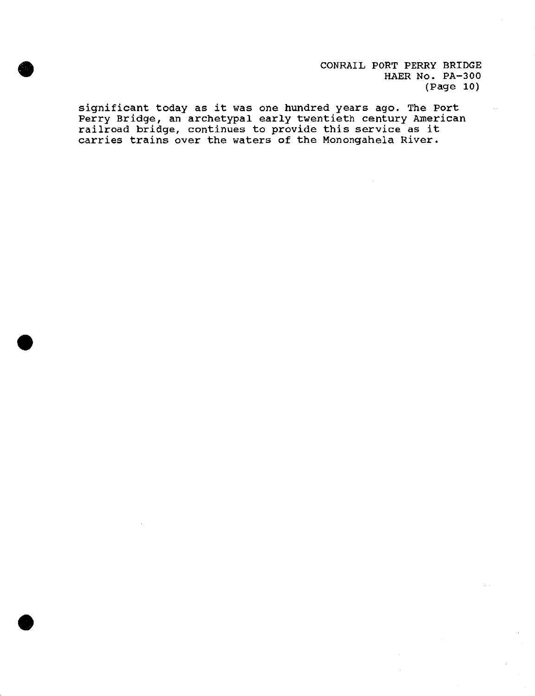CONRAIL PORT PERRY BRIDGE HAER No. PA-300 (Page 10)

significant today as it was one hundred years ago. The Port Perry Bridge, an archetypal early twentieth century American railroad bridge, continues to provide this service as it carries trains over the waters of the Monongahela River .

•

•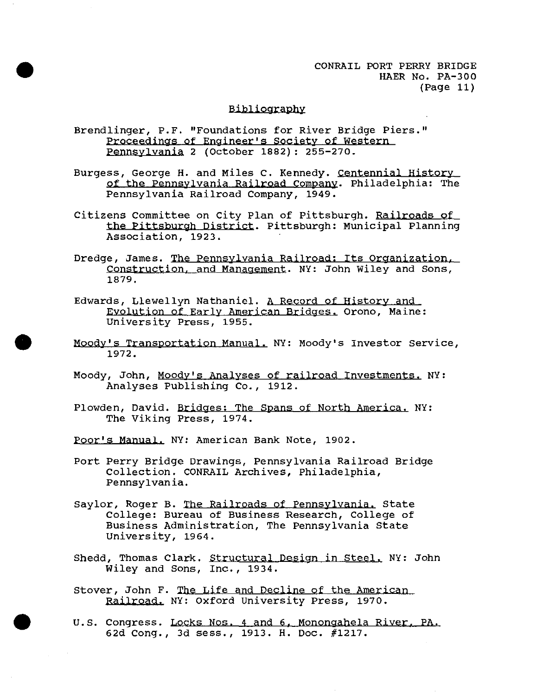CONRAIL PORT PERRY BRIDGE HAER No. PA-300 (Page 11)

### Bibliography

Brendlinger, P.F. "Foundations for River Bridge Piers." Proceedings of Engineer's society of western Pennsylvania 2 (October 1882): 255-270.

•

•

- Burgess, George H. and Miles C. Kennedy. Centennial History of the Pennsylvania Railroad company. Philadelphia: The Pennsylvania Railroad Company, 1949.
- Citizens Committee on city Plan of Pittsburgh. Railroads of the Pittsburgh District. Pittsburgh: Municipal Planning Association, 1923.
- Dredge, James. The Pennsylvania Railroad: Its Organization. construction. and Management. NY: John Wiley and sons, 1879.
- Edwards, Llewellyn Nathaniel. A Record of History and Evolution of Early American Bridges. Orono, Maine: University Press, 1955 .
- Moody's Transportation Manual. NY: Moody's Investor Service, 1972.
- Moody, John, Moody's Analyses of railroad Investments. NY: Analyses Publishing Co., 1912.
- Plowden, David. Bridges: The spans of North America. NY: The Viking Press, 1974.
- Poor's **Manual,** NY: American Bank Note, 1902.
- Port Perry Bridge Drawings, Pennsylvania Railroad Bridge Collection. CONRAIL Archives, Philadelphia, Pennsylvania.
- Saylor, Roger B. The Railroads of Pennsylvania, state College: Bureau of Business Research, College of Business Administration, The Pennsylvania State University, 1964.
- Shedd, Thomas Clark. Structural Design in Steel. NY: John Wiley and Sons, Inc., 1934.
- stover, John F. The Life and Decline of the American Railroad. NY: Oxford University Press, 1970.
- u.s. Congress. Locks Nos. 4 and 6. Monongahela River. PA, 62d Cong., 3d sess., 1913. H. Doc. #1217.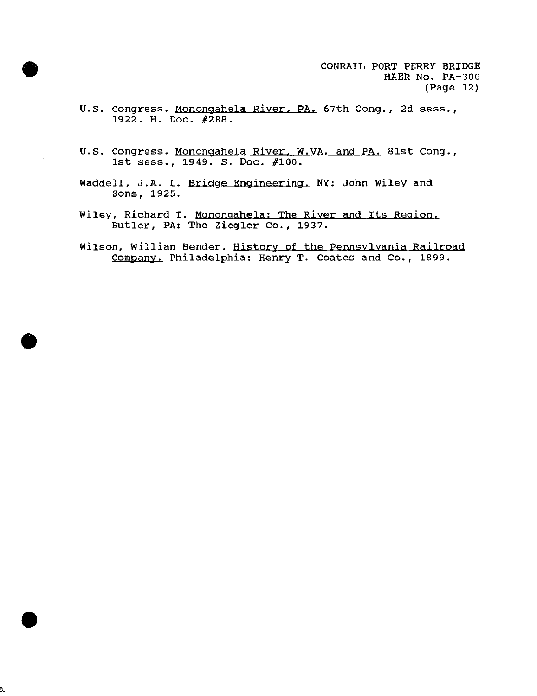u.s. congress. Monongahela River. **PA,** 67th Cong., 2d sess., 1922. H. Doc. #288.

•

•

- u.s. congress. Monongahela River. W,VA. and PA. 81st Cong., 1st sess., 1949. s. Doc. #100.
- Waddell, J.A. L. Bridge Engineering. NY: John Wiley and sons, 1925.
- Wiley, Richard T. Monongahela; **The** River and Its Region. Butler, PA: The Ziegler Co., 1937.
- Wilson, William Bender. History of the Pennsylvania Railroad Company. Philadelphia: Henry T. Coates and co., 1899 .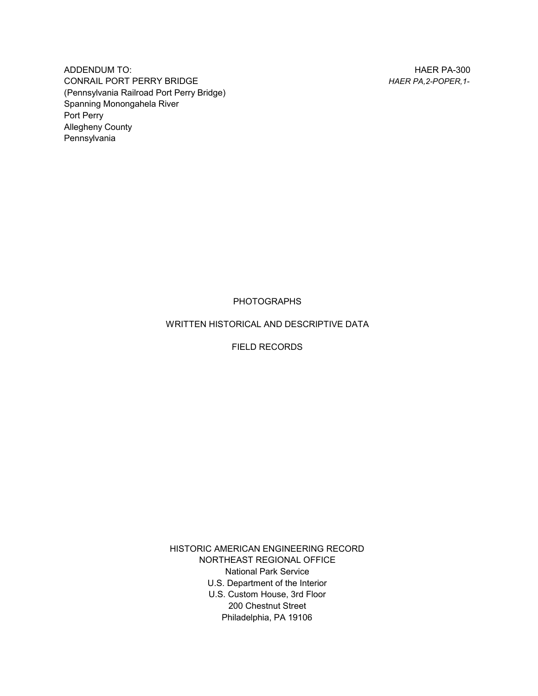HAER PA-300 *HAER PA,2-POPER,1-*

ADDENDUM TO: CONRAIL PORT PERRY BRIDGE (Pennsylvania Railroad Port Perry Bridge) Spanning Monongahela River Port Perry Allegheny County Pennsylvania

PHOTOGRAPHS

WRITTEN HISTORICAL AND DESCRIPTIVE DATA

FIELD RECORDS

HISTORIC AMERICAN ENGINEERING RECORD NORTHEAST REGIONAL OFFICE National Park Service U.S. Department of the Interior U.S. Custom House, 3rd Floor 200 Chestnut Street Philadelphia, PA 19106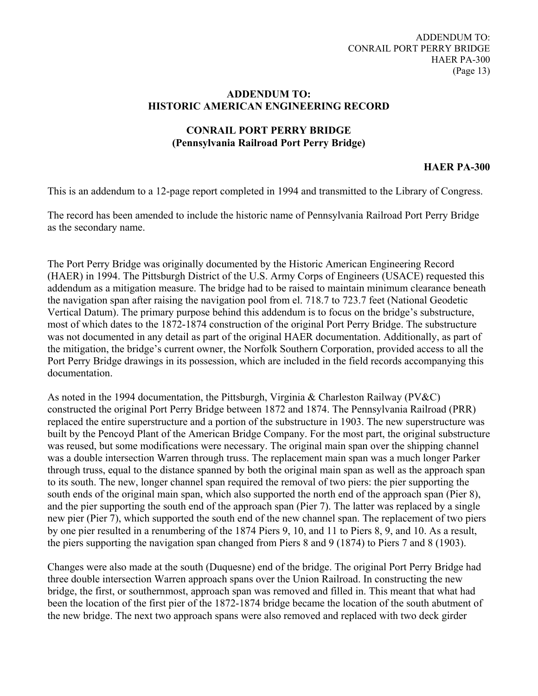### **ADDENDUM TO: HISTORIC AMERICAN ENGINEERING RECORD**

# **CONRAIL PORT PERRY BRIDGE (Pennsylvania Railroad Port Perry Bridge)**

## **HAER PA-300**

This is an addendum to a 12-page report completed in 1994 and transmitted to the Library of Congress.

The record has been amended to include the historic name of Pennsylvania Railroad Port Perry Bridge as the secondary name.

The Port Perry Bridge was originally documented by the Historic American Engineering Record (HAER) in 1994. The Pittsburgh District of the U.S. Army Corps of Engineers (USACE) requested this addendum as a mitigation measure. The bridge had to be raised to maintain minimum clearance beneath the navigation span after raising the navigation pool from el. 718.7 to 723.7 feet (National Geodetic Vertical Datum). The primary purpose behind this addendum is to focus on the bridge's substructure, most of which dates to the 1872-1874 construction of the original Port Perry Bridge. The substructure was not documented in any detail as part of the original HAER documentation. Additionally, as part of the mitigation, the bridge's current owner, the Norfolk Southern Corporation, provided access to all the Port Perry Bridge drawings in its possession, which are included in the field records accompanying this documentation.

As noted in the 1994 documentation, the Pittsburgh, Virginia & Charleston Railway (PV&C) constructed the original Port Perry Bridge between 1872 and 1874. The Pennsylvania Railroad (PRR) replaced the entire superstructure and a portion of the substructure in 1903. The new superstructure was built by the Pencoyd Plant of the American Bridge Company. For the most part, the original substructure was reused, but some modifications were necessary. The original main span over the shipping channel was a double intersection Warren through truss. The replacement main span was a much longer Parker through truss, equal to the distance spanned by both the original main span as well as the approach span to its south. The new, longer channel span required the removal of two piers: the pier supporting the south ends of the original main span, which also supported the north end of the approach span (Pier 8), and the pier supporting the south end of the approach span (Pier 7). The latter was replaced by a single new pier (Pier 7), which supported the south end of the new channel span. The replacement of two piers by one pier resulted in a renumbering of the 1874 Piers 9, 10, and 11 to Piers 8, 9, and 10. As a result, the piers supporting the navigation span changed from Piers 8 and 9 (1874) to Piers 7 and 8 (1903).

Changes were also made at the south (Duquesne) end of the bridge. The original Port Perry Bridge had three double intersection Warren approach spans over the Union Railroad. In constructing the new bridge, the first, or southernmost, approach span was removed and filled in. This meant that what had been the location of the first pier of the 1872-1874 bridge became the location of the south abutment of the new bridge. The next two approach spans were also removed and replaced with two deck girder